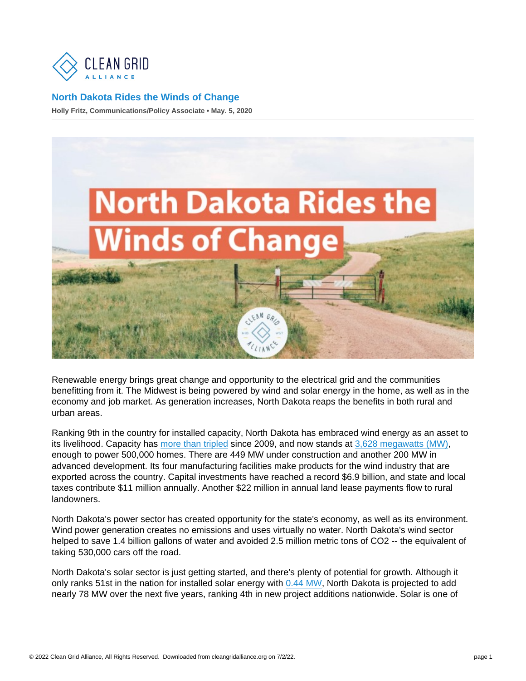Holly Fritz, Communications/Policy Associate • May. 5, 2020

Renewable energy brings great change and opportunity to the electrical grid and the communities benefitting from it. The Midwest is being powered by wind and solar energy in the home, as well as in the economy and job market. As generation increases, North Dakota reaps the benefits in both rural and urban areas.

Ranking 9th in the country for installed capacity, North Dakota has embraced wind energy as an asset to its livelihood. Capacity has [more than tripled](https://www.eia.gov/state/analysis.php?sid=ND) since 2009, and now stands at [3,628 megawatts \(MW\),](https://www.awea.org/Awea/media/Resources/StateFactSheets/North-Dakota.pdf) enough to power 500,000 homes. There are 449 MW under construction and another 200 MW in advanced development. Its four manufacturing facilities make products for the wind industry that are exported across the country. Capital investments have reached a record \$6.9 billion, and state and local taxes contribute \$11 million annually. Another \$22 million in annual land lease payments flow to rural landowners.

North Dakota's power sector has created opportunity for the state's economy, as well as its environment. Wind power generation creates no emissions and uses virtually no water. North Dakota's wind sector helped to save 1.4 billion gallons of water and avoided 2.5 million metric tons of CO2 -- the equivalent of taking 530,000 cars off the road.

North Dakota's solar sector is just getting started, and there's plenty of potential for growth. Although it only ranks 51st in the nation for installed solar energy with [0.44 MW,](https://seia.org/sites/default/files/2020-03/North Dakota.pdf) North Dakota is projected to add nearly 78 MW over the next five years, ranking 4th in new project additions nationwide. Solar is one of